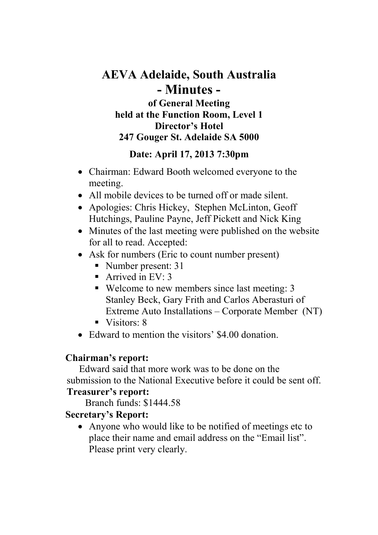# **AEVA Adelaide, South Australia - Minutes of General Meeting**

**held at the Function Room, Level 1 Director's Hotel 247 Gouger St. Adelaide SA 5000**

## **Date: April 17, 2013 7:30pm**

- Chairman: Edward Booth welcomed everyone to the meeting.
- All mobile devices to be turned off or made silent.
- Apologies: Chris Hickey, Stephen McLinton, Geoff Hutchings, Pauline Payne, Jeff Pickett and Nick King
- Minutes of the last meeting were published on the website for all to read. Accepted:
- Ask for numbers (Eric to count number present)
	- Number present: 31
	- Arrived in EV:  $3$
	- Welcome to new members since last meeting: 3 Stanley Beck, Gary Frith and Carlos Aberasturi of Extreme Auto Installations – Corporate Member (NT)
	- $\blacksquare$  Visitors: 8
- Edward to mention the visitors' \$4.00 donation.

## **Chairman's report:**

Edward said that more work was to be done on the submission to the National Executive before it could be sent off. **Treasurer's report:**

Branch funds: \$1444.58

# **Secretary's Report:**

• Anyone who would like to be notified of meetings etc to place their name and email address on the "Email list". Please print very clearly.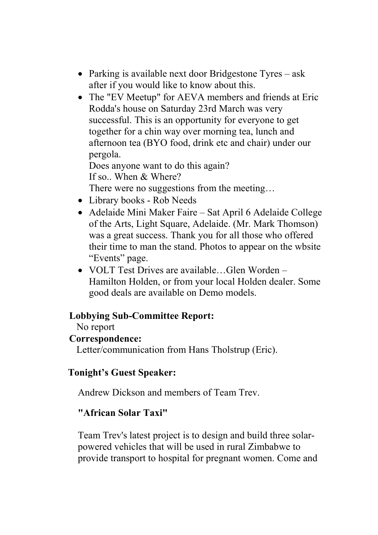- Parking is available next door Bridgestone Tyres ask after if you would like to know about this.
- The "EV Meetup" for AEVA members and friends at Eric Rodda's house on Saturday 23rd March was very successful. This is an opportunity for everyone to get together for a chin way over morning tea, lunch and afternoon tea (BYO food, drink etc and chair) under our pergola.

Does anyone want to do this again? If so.. When & Where?

There were no suggestions from the meeting...

- Library books Rob Needs
- Adelaide Mini Maker Faire Sat April 6 Adelaide College of the Arts, Light Square, Adelaide. (Mr. Mark Thomson) was a great success. Thank you for all those who offered their time to man the stand. Photos to appear on the wbsite "Events" page.
- VOLT Test Drives are available…Glen Worden Hamilton Holden, or from your local Holden dealer. Some good deals are available on Demo models.

## **Lobbying Sub-Committee Report:**

No report

## **Correspondence:**

Letter/communication from Hans Tholstrup (Eric).

## **Tonight's Guest Speaker:**

Andrew Dickson and members of Team Trev.

## **"African Solar Taxi"**

Team Trev's latest project is to design and build three solarpowered vehicles that will be used in rural Zimbabwe to provide transport to hospital for pregnant women. Come and